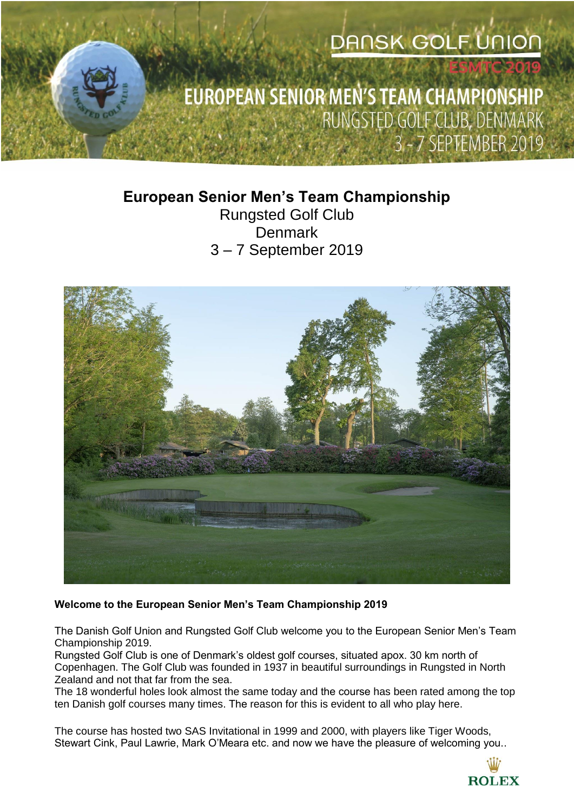# **DANSK GOLF UNION**

## EUROPEAN SENIOR MEN'S TEAM CHAMPIONSHIP RUNGSTED GOLF CLUB, DENMARK 3 - 7 SEPTEMBER 2019

## **European Senior Men's Team Championship** Rungsted Golf Club **Denmark** 3 – 7 September 2019



## **Welcome to the European Senior Men's Team Championship 2019**

The Danish Golf Union and Rungsted Golf Club welcome you to the European Senior Men's Team Championship 2019.

Rungsted Golf Club is one of Denmark's oldest golf courses, situated apox. 30 km north of Copenhagen. The Golf Club was founded in 1937 in beautiful surroundings in Rungsted in North Zealand and not that far from the sea.

The 18 wonderful holes look almost the same today and the course has been rated among the top ten Danish golf courses many times. The reason for this is evident to all who play here.

The course has hosted two SAS Invitational in 1999 and 2000, with players like Tiger Woods, Stewart Cink, Paul Lawrie, Mark O'Meara etc. and now we have the pleasure of welcoming you..

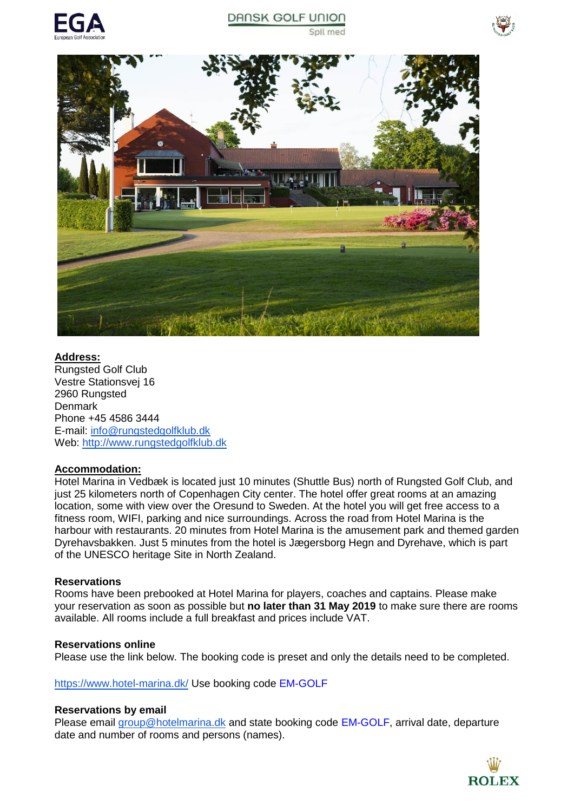





## **Address:**

Rungsted Golf Club Vestre Stationsvej 16 2960 Rungsted **Denmark** Phone +45 4586 3444 E-mail: [info@rungstedgolfklub.dk](mailto:info@rungstedgolfklub.dk) Web: [http://www.rungstedgolfklub.dk](http://www.rungstedgolfklub.dk/)

#### **Accommodation:**

Hotel Marina in Vedbæk is located just 10 minutes (Shuttle Bus) north of Rungsted Golf Club, and just 25 kilometers north of Copenhagen City center. The hotel offer great rooms at an amazing location, some with view over the Oresund to Sweden. At the hotel you will get free access to a fitness room, WIFI, parking and nice surroundings. Across the road from Hotel Marina is the harbour with restaurants. 20 minutes from Hotel Marina is the amusement park and themed garden Dyrehavsbakken. Just 5 minutes from the hotel is Jægersborg Hegn and Dyrehave, which is part of the UNESCO heritage Site in North Zealand.

#### **Reservations**

Rooms have been prebooked at Hotel Marina for players, coaches and captains. Please make your reservation as soon as possible but **no later than 31 May 2019** to make sure there are rooms available. All rooms include a full breakfast and prices include VAT.

#### **Reservations online**

Please use the link below. The booking code is preset and only the details need to be completed.

<https://www.hotel-marina.dk/>Use booking code EM-GOLF

#### **Reservations by email**

Please email [group@hotelmarina.dk](mailto:group@hotelmarina.dk) and state booking code EM-GOLF, arrival date, departure date and number of rooms and persons (names).

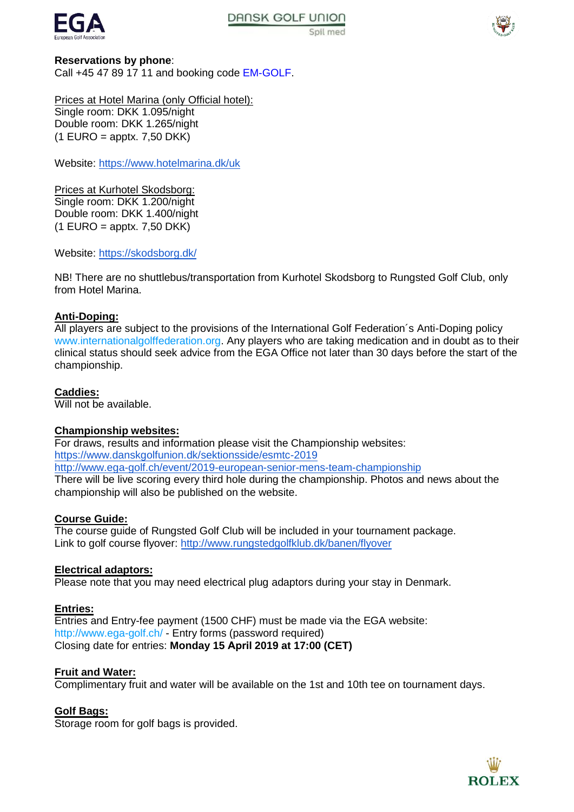



#### **Reservations by phone**:

Call +45 47 89 17 11 and booking code EM-GOLF.

Prices at Hotel Marina (only Official hotel): Single room: DKK 1.095/night Double room: DKK 1.265/night  $(1$  EURO = apptx. 7,50 DKK)

Website:<https://www.hotelmarina.dk/uk>

Prices at Kurhotel Skodsborg: Single room: DKK 1.200/night Double room: DKK 1.400/night  $(1$  EURO = apptx. 7,50 DKK)

Website:<https://skodsborg.dk/>

NB! There are no shuttlebus/transportation from Kurhotel Skodsborg to Rungsted Golf Club, only from Hotel Marina.

## **Anti-Doping:**

All players are subject to the provisions of the International Golf Federation´s Anti-Doping policy [www.internationalgolffederation.org.](http://www.internationalgolffederation.org/) Any players who are taking medication and in doubt as to their clinical status should seek advice from the EGA Office not later than 30 days before the start of the championship.

## **Caddies:**

Will not be available.

#### **Championship websites:**

For draws, results and information please visit the Championship websites: <https://www.danskgolfunion.dk/sektionsside/esmtc-2019> <http://www.ega-golf.ch/event/2019-european-senior-mens-team-championship> There will be live scoring every third hole during the championship. Photos and news about the championship will also be published on the website.

## **Course Guide:**

The course guide of Rungsted Golf Club will be included in your tournament package. Link to golf course flyover[: http://www.rungstedgolfklub.dk/banen/flyover](http://www.rungstedgolfklub.dk/banen/flyover)

#### **Electrical adaptors:**

Please note that you may need electrical plug adaptors during your stay in Denmark.

#### **Entries:**

Entries and Entry-fee payment (1500 CHF) must be made via the EGA website: <http://www.ega-golf.ch/> - Entry forms (password required) Closing date for entries: **Monday 15 April 2019 at 17:00 (CET)** 

#### **Fruit and Water:**

Complimentary fruit and water will be available on the 1st and 10th tee on tournament days.

#### **Golf Bags:**

Storage room for golf bags is provided.

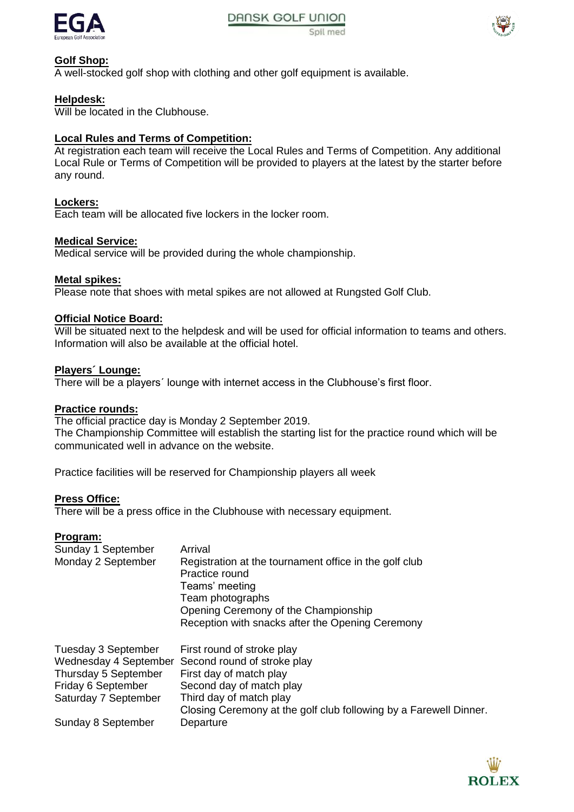



## **Golf Shop:**

A well-stocked golf shop with clothing and other golf equipment is available.

## **Helpdesk:**

Will be located in the Clubhouse.

## **Local Rules and Terms of Competition:**

At registration each team will receive the Local Rules and Terms of Competition. Any additional Local Rule or Terms of Competition will be provided to players at the latest by the starter before any round.

## **Lockers:**

Each team will be allocated five lockers in the locker room.

## **Medical Service:**

Medical service will be provided during the whole championship.

## **Metal spikes:**

Please note that shoes with metal spikes are not allowed at Rungsted Golf Club.

## **Official Notice Board:**

Will be situated next to the helpdesk and will be used for official information to teams and others. Information will also be available at the official hotel.

## **Players´ Lounge:**

There will be a players´ lounge with internet access in the Clubhouse's first floor.

#### **Practice rounds:**

The official practice day is Monday 2 September 2019. The Championship Committee will establish the starting list for the practice round which will be communicated well in advance on the website.

Practice facilities will be reserved for Championship players all week

#### **Press Office:**

There will be a press office in the Clubhouse with necessary equipment.

#### **Program:**

| Sunday 1 September<br>Monday 2 September                                                                           | Arrival<br>Registration at the tournament office in the golf club<br>Practice round<br>Teams' meeting<br>Team photographs<br>Opening Ceremony of the Championship<br>Reception with snacks after the Opening Ceremony |
|--------------------------------------------------------------------------------------------------------------------|-----------------------------------------------------------------------------------------------------------------------------------------------------------------------------------------------------------------------|
| Tuesday 3 September<br>Wednesday 4 September<br>Thursday 5 September<br>Friday 6 September<br>Saturday 7 September | First round of stroke play<br>Second round of stroke play<br>First day of match play<br>Second day of match play<br>Third day of match play<br>Closing Ceremony at the golf club following by a Farewell Dinner.      |
| Sunday 8 September                                                                                                 | Departure                                                                                                                                                                                                             |

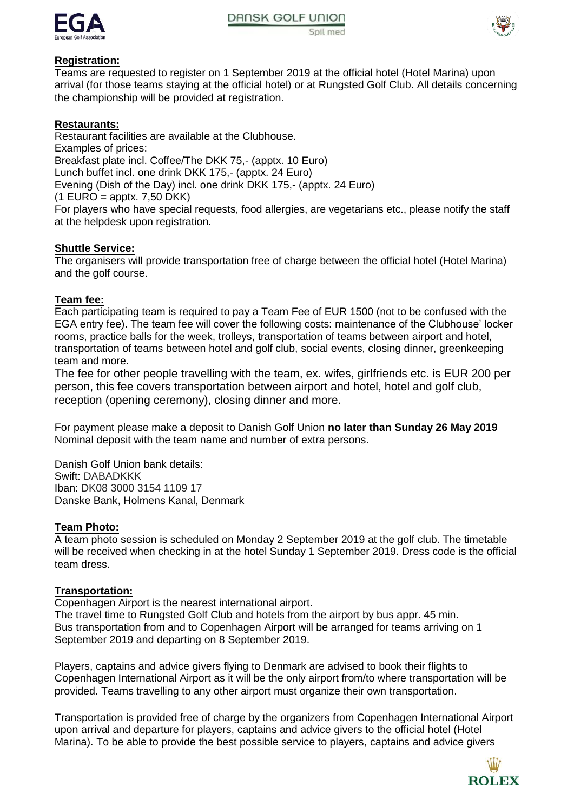



## **Registration:**

Teams are requested to register on 1 September 2019 at the official hotel (Hotel Marina) upon arrival (for those teams staying at the official hotel) or at Rungsted Golf Club. All details concerning the championship will be provided at registration.

## **Restaurants:**

Restaurant facilities are available at the Clubhouse. Examples of prices: Breakfast plate incl. Coffee/The DKK 75,- (apptx. 10 Euro) Lunch buffet incl. one drink DKK 175,- (apptx. 24 Euro) Evening (Dish of the Day) incl. one drink DKK 175,- (apptx. 24 Euro)  $(1$  EURO = apptx, 7.50 DKK) For players who have special requests, food allergies, are vegetarians etc., please notify the staff

at the helpdesk upon registration.

## **Shuttle Service:**

The organisers will provide transportation free of charge between the official hotel (Hotel Marina) and the golf course.

## **Team fee:**

Each participating team is required to pay a Team Fee of EUR 1500 (not to be confused with the EGA entry fee). The team fee will cover the following costs: maintenance of the Clubhouse' locker rooms, practice balls for the week, trolleys, transportation of teams between airport and hotel, transportation of teams between hotel and golf club, social events, closing dinner, greenkeeping team and more.

The fee for other people travelling with the team, ex. wifes, girlfriends etc. is EUR 20 per person, this fee covers transportation between airport and hotel, hotel and golf club, reception (opening ceremony), closing dinner and more.

For payment please make a deposit to Danish Golf Union **no later than Sunday 26 May 2019** Nominal deposit with the team name and number of extra persons.

Danish Golf Union bank details: Swift: DABADKKK Iban: DK08 3000 3154 1109 17 Danske Bank, Holmens Kanal, Denmark

## **Team Photo:**

A team photo session is scheduled on Monday 2 September 2019 at the golf club. The timetable will be received when checking in at the hotel Sunday 1 September 2019. Dress code is the official team dress.

## **Transportation:**

Copenhagen Airport is the nearest international airport.

The travel time to Rungsted Golf Club and hotels from the airport by bus appr. 45 min. Bus transportation from and to Copenhagen Airport will be arranged for teams arriving on 1 September 2019 and departing on 8 September 2019.

Players, captains and advice givers flying to Denmark are advised to book their flights to Copenhagen International Airport as it will be the only airport from/to where transportation will be provided. Teams travelling to any other airport must organize their own transportation.

Transportation is provided free of charge by the organizers from Copenhagen International Airport upon arrival and departure for players, captains and advice givers to the official hotel (Hotel Marina). To be able to provide the best possible service to players, captains and advice givers